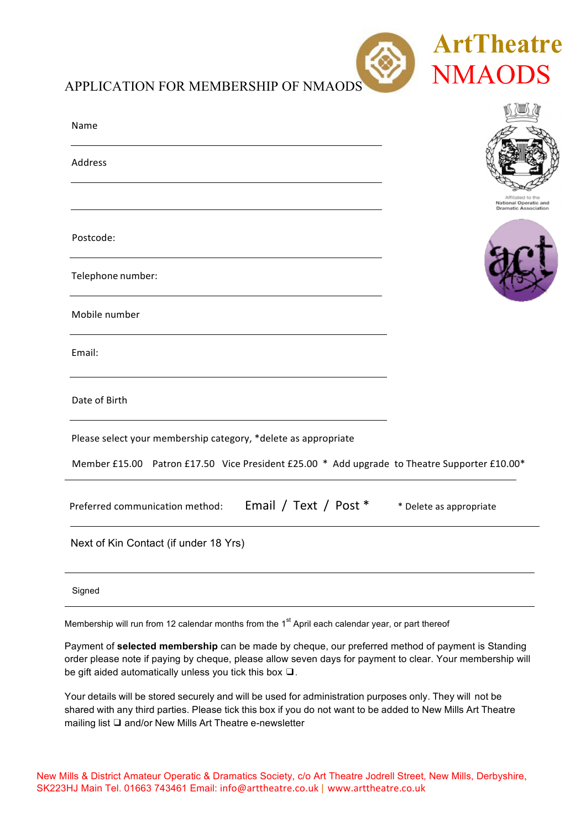

**15 7005 700** 

| Name                                                                                         |                                                      |
|----------------------------------------------------------------------------------------------|------------------------------------------------------|
| Address                                                                                      |                                                      |
|                                                                                              | National Operatic and<br><b>Dramatic Association</b> |
| Postcode:                                                                                    |                                                      |
| Telephone number:                                                                            |                                                      |
| Mobile number                                                                                |                                                      |
| Email:                                                                                       |                                                      |
| Date of Birth                                                                                |                                                      |
| Please select your membership category, *delete as appropriate                               |                                                      |
| Member £15.00 Patron £17.50 Vice President £25.00 * Add upgrade to Theatre Supporter £10.00* |                                                      |
| Email / Text / Post *<br>Preferred communication method:                                     | * Delete as appropriate                              |
| Next of Kin Contact (if under 18 Yrs)                                                        |                                                      |
| Signed                                                                                       |                                                      |

Membership will run from 12 calendar months from the 1<sup>st</sup> April each calendar year, or part thereof

Payment of **selected membership** can be made by cheque, our preferred method of payment is Standing order please note if paying by cheque, please allow seven days for payment to clear. Your membership will be gift aided automatically unless you tick this box ❑.

Your details will be stored securely and will be used for administration purposes only. They will not be shared with any third parties. Please tick this box if you do not want to be added to New Mills Art Theatre mailing list ❑ and/or New Mills Art Theatre e-newsletter